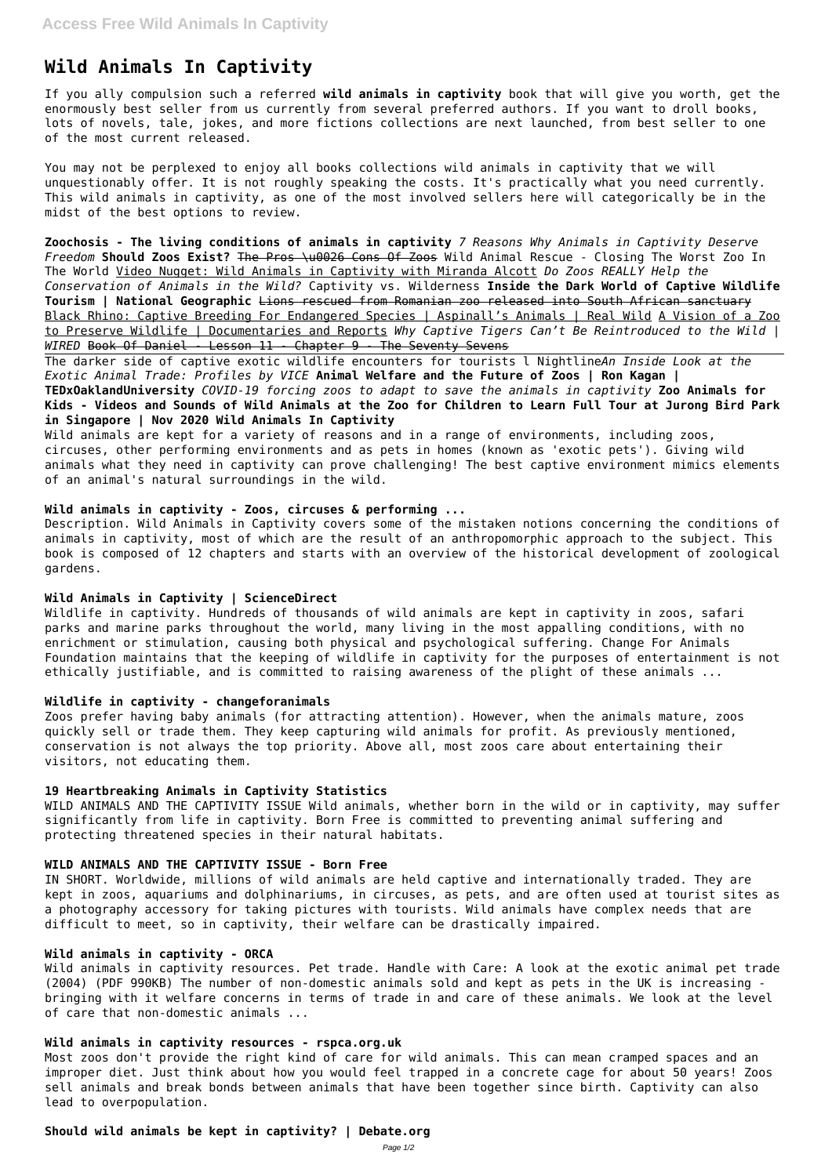# **Wild Animals In Captivity**

If you ally compulsion such a referred **wild animals in captivity** book that will give you worth, get the enormously best seller from us currently from several preferred authors. If you want to droll books, lots of novels, tale, jokes, and more fictions collections are next launched, from best seller to one of the most current released.

You may not be perplexed to enjoy all books collections wild animals in captivity that we will unquestionably offer. It is not roughly speaking the costs. It's practically what you need currently. This wild animals in captivity, as one of the most involved sellers here will categorically be in the midst of the best options to review.

**Zoochosis - The living conditions of animals in captivity** *7 Reasons Why Animals in Captivity Deserve Freedom* **Should Zoos Exist?** The Pros \u0026 Cons Of Zoos Wild Animal Rescue - Closing The Worst Zoo In The World Video Nugget: Wild Animals in Captivity with Miranda Alcott *Do Zoos REALLY Help the Conservation of Animals in the Wild?* Captivity vs. Wilderness **Inside the Dark World of Captive Wildlife Tourism | National Geographic** Lions rescued from Romanian zoo released into South African sanctuary Black Rhino: Captive Breeding For Endangered Species | Aspinall's Animals | Real Wild A Vision of a Zoo to Preserve Wildlife | Documentaries and Reports *Why Captive Tigers Can't Be Reintroduced to the Wild | WIRED* Book Of Daniel - Lesson 11 - Chapter 9 - The Seventy Sevens

Wild animals are kept for a variety of reasons and in a range of environments, including zoos, circuses, other performing environments and as pets in homes (known as 'exotic pets'). Giving wild animals what they need in captivity can prove challenging! The best captive environment mimics elements of an animal's natural surroundings in the wild.

The darker side of captive exotic wildlife encounters for tourists l Nightline*An Inside Look at the Exotic Animal Trade: Profiles by VICE* **Animal Welfare and the Future of Zoos | Ron Kagan | TEDxOaklandUniversity** *COVID-19 forcing zoos to adapt to save the animals in captivity* **Zoo Animals for Kids - Videos and Sounds of Wild Animals at the Zoo for Children to Learn Full Tour at Jurong Bird Park in Singapore | Nov 2020 Wild Animals In Captivity**

## **Wild animals in captivity - Zoos, circuses & performing ...**

Description. Wild Animals in Captivity covers some of the mistaken notions concerning the conditions of animals in captivity, most of which are the result of an anthropomorphic approach to the subject. This book is composed of 12 chapters and starts with an overview of the historical development of zoological gardens.

## **Wild Animals in Captivity | ScienceDirect**

Wildlife in captivity. Hundreds of thousands of wild animals are kept in captivity in zoos, safari parks and marine parks throughout the world, many living in the most appalling conditions, with no enrichment or stimulation, causing both physical and psychological suffering. Change For Animals Foundation maintains that the keeping of wildlife in captivity for the purposes of entertainment is not ethically justifiable, and is committed to raising awareness of the plight of these animals ...

## **Wildlife in captivity - changeforanimals**

Zoos prefer having baby animals (for attracting attention). However, when the animals mature, zoos quickly sell or trade them. They keep capturing wild animals for profit. As previously mentioned, conservation is not always the top priority. Above all, most zoos care about entertaining their visitors, not educating them.

## **19 Heartbreaking Animals in Captivity Statistics**

WILD ANIMALS AND THE CAPTIVITY ISSUE Wild animals, whether born in the wild or in captivity, may suffer significantly from life in captivity. Born Free is committed to preventing animal suffering and protecting threatened species in their natural habitats.

#### **WILD ANIMALS AND THE CAPTIVITY ISSUE - Born Free**

IN SHORT. Worldwide, millions of wild animals are held captive and internationally traded. They are

kept in zoos, aquariums and dolphinariums, in circuses, as pets, and are often used at tourist sites as a photography accessory for taking pictures with tourists. Wild animals have complex needs that are difficult to meet, so in captivity, their welfare can be drastically impaired.

## **Wild animals in captivity - ORCA**

Wild animals in captivity resources. Pet trade. Handle with Care: A look at the exotic animal pet trade (2004) (PDF 990KB) The number of non-domestic animals sold and kept as pets in the UK is increasing bringing with it welfare concerns in terms of trade in and care of these animals. We look at the level of care that non-domestic animals ...

## **Wild animals in captivity resources - rspca.org.uk**

Most zoos don't provide the right kind of care for wild animals. This can mean cramped spaces and an improper diet. Just think about how you would feel trapped in a concrete cage for about 50 years! Zoos sell animals and break bonds between animals that have been together since birth. Captivity can also lead to overpopulation.

## **Should wild animals be kept in captivity? | Debate.org**